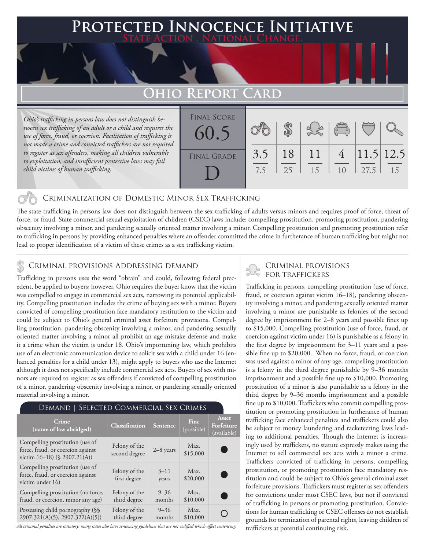## **Protected Innocence Initiative State Action . National Change.**

# **Ohio Report Card**

*Ohio's trafficking in persons law does not distinguish between sex trafficking of an adult or a child and requires the use of force, fraud, or coercion. Facilitation of trafficking is not made a crime and convicted traffickers are not required to register as sex offenders, making all children vulnerable to exploitation, and insufficient protective laws may fail child victims of human trafficking.*

| <b>FINAL SCORE</b><br>60.5 |            |          |          | $\sqrt{\frac{1}{10}}$ |                   |    |
|----------------------------|------------|----------|----------|-----------------------|-------------------|----|
| <b>FINAL GRADE</b>         | 3.5<br>7.5 | 18<br>25 | 11<br>15 | 10                    | 11.5 12.5<br>27.5 | 15 |

### Criminalization of Domestic Minor Sex Trafficking

The state trafficking in persons law does not distinguish between the sex trafficking of adults versus minors and requires proof of force, threat of force, or fraud. State commercial sexual exploitation of children (CSEC) laws include: compelling prostitution, promoting prostitution, pandering obscenity involving a minor, and pandering sexually oriented matter involving a minor. Compelling prostitution and promoting prostitution refer to trafficking in persons by providing enhanced penalties where an offender committed the crime in furtherance of human trafficking but might not lead to proper identification of a victim of these crimes as a sex trafficking victim.

# CRIMINAL PROVISIONS ADDRESSING DEMAND<br>Trafficking in persons uses the word "chtein" and sould following federal pressent and FOR TRAFFICKERS

Trafficking in persons uses the word "obtain" and could, following federal precedent, be applied to buyers; however, Ohio requires the buyer know that the victim was compelled to engage in commercial sex acts, narrowing its potential applicability. Compelling prostitution includes the crime of buying sex with a minor. Buyers convicted of compelling prostitution face mandatory restitution to the victim and could be subject to Ohio's general criminal asset forfeiture provisions. Compelling prostitution, pandering obscenity involving a minor, and pandering sexually oriented matter involving a minor all prohibit an age mistake defense and make it a crime when the victim is under 18. Ohio's importuning law, which prohibits use of an electronic communication device to solicit sex with a child under 16 (enhanced penalties for a child under 13), might apply to buyers who use the Internet although it does not specifically include commercial sex acts. Buyers of sex with minors are required to register as sex offenders if convicted of compelling prostitution of a minor, pandering obscenity involving a minor, or pandering sexually oriented material involving a minor.

#### Demand | Selected Commercial Sex Crimes

| Crime<br>(name of law abridged)                                                                      | Classification                 | Sentence           | Fine<br>(possible) | Asset<br>Forfeiture<br>(available) |
|------------------------------------------------------------------------------------------------------|--------------------------------|--------------------|--------------------|------------------------------------|
| Compelling prostitution (use of<br>force, fraud, or coercion against<br>victim 16-18) (§ 2907.21(A)) | Felony of the<br>second degree | $2-8$ years        | Max.<br>\$15,000   |                                    |
| Compelling prostitution (use of<br>force, fraud, or coercion against<br>victim under 16)             | Felony of the<br>first degree  | $3 - 11$<br>years  | Max.<br>\$20,000   |                                    |
| Compelling prostitution (no force,<br>fraud, or coercion, minor any age)                             | Felony of the<br>third degree  | $9 - 36$<br>months | Max.<br>\$10,000   |                                    |
| Possessing child pornography (§§<br>2907.321(A)(5), 2907.322(A)(5))                                  | Felony of the<br>third degree  | $9 - 36$<br>months | Max.<br>\$10,000   |                                    |

*All criminal penalties are statutory; many states also have sentencing guidelines that are not codified which affect sentencing.* 

Trafficking in persons, compelling prostitution (use of force, fraud, or coercion against victim 16–18), pandering obscenity involving a minor, and pandering sexually oriented matter involving a minor are punishable as felonies of the second degree by imprisonment for 2–8 years and possible fines up to \$15,000. Compelling prostitution (use of force, fraud, or coercion against victim under 16) is punishable as a felony in the first degree by imprisonment for 3–11 years and a possible fine up to \$20,000. When no force, fraud, or coercion was used against a minor of any age, compelling prostitution is a felony in the third degree punishable by 9–36 months imprisonment and a possible fine up to \$10,000. Promoting prostitution of a minor is also punishable as a felony in the third degree by 9–36 months imprisonment and a possible fine up to \$10,000. Traffickers who commit compelling prostitution or promoting prostitution in furtherance of human trafficking face enhanced penalties and traffickers could also be subject to money laundering and racketeering laws leading to additional penalties. Though the Internet is increasingly used by traffickers, no statute expressly makes using the Internet to sell commercial sex acts with a minor a crime. Traffickers convicted of trafficking in persons, compelling prostitution, or promoting prostitution face mandatory restitution and could be subject to Ohio's general criminal asset forfeiture provisions. Traffickers must register as sex offenders for convictions under most CSEC laws, but not if convicted of trafficking in persons or promoting prostitution. Convictions for human trafficking or CSEC offenses do not establish grounds for termination of parental rights, leaving children of traffickers at potential continuing risk.